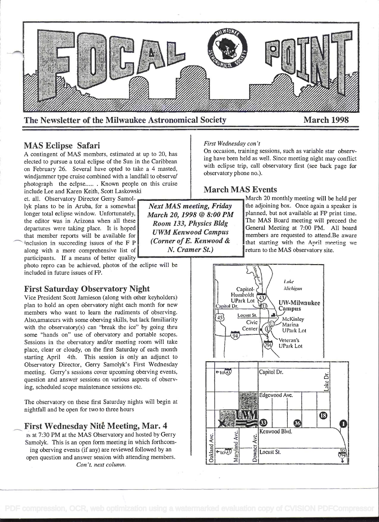

# MAS Eclipse Safari

A contingent of MAS members, estimated at up to 20, has elected to pursue a total eclipse of the Sun in the Caribbean on February 26. Several have opted to take a 4 masted, windjammer type cruise combined with a landfall to observe/ photograph the eclpse...... Known people on this cruise include Lee and Karen Keith, Scott Laskowski

et. all. Observatory Director Gerry Samollyk plans to be in Aruba, for a somewhat Next MAS meeting, Friday longer total eclipse window. Unfortunately,  $March$  20 1998 @ 8:00 PM longer total eclipse window. Unfortunately, March 20, 1998  $\textcircled{B}$  8:00 PM the editor was in Arizona when all these **Peam 132** Physics PIA the editor was in Arizona when all these<br>departures were taking place. It is hoped<br>that member reports will be available for  $UWM$  Kenwood Campus<br>inclusion in succeeding issues of the E P (Corner of E. Kenwood & inclusion in succeeding issues of the F P (Corner of E. Kenwood along with a more comprehensive list of  $N$ . Cramer St.) along with a more comprehensive list of participants. If a means of better quality

photo repro can be achieved, photos of the eclipse will be included in future issues of FP.

# First Saturday Observatory Night

Vice President Scott Jamieson (along with other keyholders) plan to hold an open obervatory night each month for new members who want to learn the rudiments of observing. Also,amateurs with some oberving skills, but lack familiarity with the observatory(s) can "break the ice" by going thru some "hands on" use of obervatory and portable scopes. Sessions in the obervatory and/or meeting room will take place, clear or cloudy, on the first Saturday of each month starting April 4th. This session is only an adjunct to Observatory Director, Gerry Samolyk's First Wednesday meeting. Gerry's sessions cover upcoming oberving events, question and answer sessions on various aspects of observing, scheduled scope maintenance sessions etc.

The observatory on these first Saturday nights will begin at nightfall and be open for two to three hours

# - First Wednesday Nité Meeting, Mar. 4

is at 7:30 PM at the MAS Observatory and hosted by Gerry Samolyk. This is an open form meeting in which forthcoming oberving events (if any) are reviewed followed by an open question and answer session with attending members. Con 't. next column.

#### First Wednesday con't

On occasion, training sessions, such as variable star observing have been held as well. Since meeting night may conflict with eclipse trip, call observatory first (see back page for observatory phone no.).

# March MAS Events

March 20 monthly meeting will be held per the adjoining box. Once again a speaker is planned, but not available at FP print time. The MAS Board meeting will preceed the General Meeting at 7:00 PM. All board members are requested to attend.Be aware that starting with the April meeting we return to the MAS observatory site.

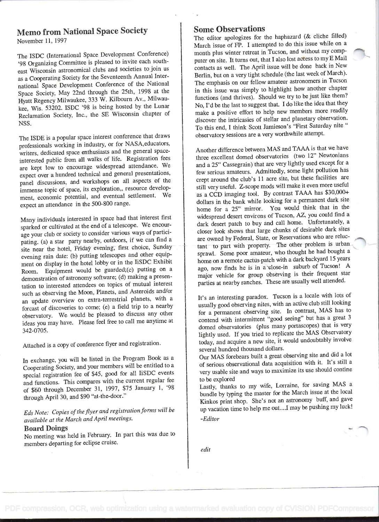# Memo from National Space Society

November 11, 1997

The ISDC (International Space Development Conference) '98 Organizing Committee is pleased to invite each southeast Wisconsin astronomical clubs and societies to join us as a Cooperating Society for the Seventeenth Annual International Space Development Conference of the National Space Society, May 22nd through the 25th, 1998 at the Hyatt Regency Milwaukee, 333 W. Kilbourn Av., Milwaukee, Wis. 53202. ISDC '98 is being hosted by the Lunar Reclamation Society, Inc., the SE Wisconsin chapter of NSS.

The ISDE is a popular space interest conference that draws professionals working in industry, or for NASA,educators, writers, dedicated space enthusiasts and the general spaceinterested public from all walks of life. Registration fees are kept low to encourage widespread attendance. We expect over a hundred technical and general presentations, panel discussions, and workshops on all aspects of the immense topic of space, its exploration,, resource development, economic potential, and eventual settlement. We expect an attendance in the 500-800 range.

Many individuals interested in space had that interest first sparked or cultivated at the end of a telescope. We encour age your club or society to consider various ways of participating. (a) a star party nearby, outdoors, if we can find <sup>a</sup>site near the hotel, Friday evening, first choice, Sunday evening rain date: (b) putting telescopes and other equipment on display in the hotel lobby or in the IiSDC Exhibit Room. Equipment would be guarded;(c) putting on <sup>a</sup>demonstration of astronomy software; (d) making a presentation to interested attendees on topics of mutual interest such as observing the Moon, Planets, and Asteroids and/or an update overview on extra-terrestrial planets, with <sup>a</sup>forcast of discoveries to come; (e) a field trip to a nearby observatory. We would be pleased to discuss any other ideas you may have. Please feel free to call me anytime at 342-0705.

Attached is a copy of conference flyer and registration

In exchange, you will be listed in the Program Book as a Cooperating Society, and your members will be entitled to <sup>a</sup>special registration fee of \$45, good for all IiSDC events and functions. This compares with the current regular fee of \$60 through December 31, 1997, \$75 January 1, '98 through April 30, and \$90 "at-the-door."

Eds Note: Copies of the flyer and registration forms will be available at the March and April meetings.

Board Doings No meeting was held in February. In part this was due to members departing for eclipse cruise.

# Some Observations

The editor apologizes for the haphazard (& cliche filled) March issue of FP. I attempted to do this issue while on <sup>a</sup> month plus winter retreat in Tucson, and without my compputer on site. It turns out, that I also lost access to my E Mail contacts as well. The April issue will be done back in New Berlin, but on a very tight schedule (the last week of March). The emphasis on our fellow amateur astronomers in Tucson in this issue was simply to highlight how another chapter functions (and thrives). Should we try to be just like them? No, I'd be the last to suggest that. I do like the idea that they make a positive effort to help new members more readily discover the intricasies of stellar and planetary observation. To this end, I think Scott Jamieson's "First Saturday nite observatory sessions are a very worthwhile attempt.

Another difference between MAS and TAAA is that we have three excellent domed observatories (two 12" Newtonians and a 25" Cassegrain) that are very lightly used except for <sup>a</sup>few serious amateurs. Admittedly, some light pollution has crept around the club's 11 acre site, but these facilities are still very useful. Z-scope mods will make it even more useful as a CCD imaging tool. By contrast TAAA has \$30,000+ dollars in the bank while looking for a permanent dark site home for a 25" mirror. You would think that in the widespread desert environs of Tucson, AZ, you could find <sup>a</sup>dark desert patch to buy and call home. Unfortunately, <sup>a</sup>closer look shows that large chunks of desirable dark sites are owned by Federal, State, or Reservations who are reluctant to part with property. The other problem is urban sprawl. Some poor amateur, who thought he had bought <sup>a</sup> home on a remote cactus patch with a dark backyard 15 years ago, now finds he is in a close-in suburb of Tucson! A major vehicle for group observing is their frequent star parties at nearby ranches. These are usually well attended.

It's an interesting paradox. Tucson is a locale with lots of usually good observing nites, with an active club still looking for a permanent observing site. In contrast, MAS has to contend with intermittent "good seeing" but has a great <sup>3</sup> domed observatories (plus many portascopes) that is very lightly used. If you tried to replicate the MAS Observatory today, and acquire a new site, it would undoubtably involve several hundred thousand dollars.

Our MAS forebears built a great observing site and did a lot of serious observational data acquisition with it. It's still <sup>a</sup>very usable site and ways to maximize its use should contine to be explored

Lastly, thanks to my wife, Lorraine, for saving MAS <sup>a</sup> bundle by typing the master for the March issue at the local Kinkos print shop. She's not an astronomy buff, and gave up vacation time to help me out....I may be pushing my luck! -Editor

edit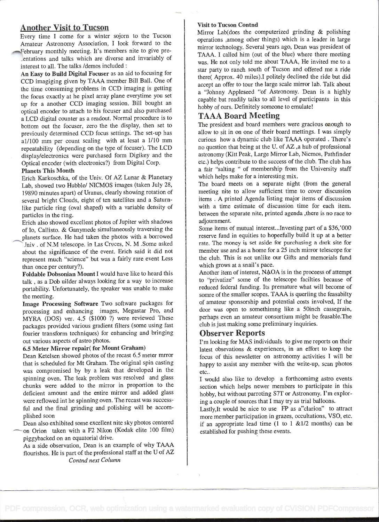# Another Visit to Tucson

Every time I come for a winter sojorn to the Tucson Amateur Astronomy Association, I look forward to the February monthly meeting. It's members nite to give preentations and talks which are diverse and invariably of interest to all. The talks /demos included

An Easy to Build Digital Focuser as an aid to focusing for CCD imagiging given by TAAA member Bill Ball. One of the time consuming problems in CCD imaging is getting the focus exactly at he pixel array plane everytime you set up for a another CCD imaging session. Bill bought an optical encoder to attach to his focuser and also purchased a LCD digital counter as a readout. Normal procedure is to bottom out the focuser, zero the the display, then set to previously determined CCD focus settings. The set-up has al/lOO mm per count scaling with at lesat a 1/lo mm repeatability (depending on the type of focuser). The LCD display/electronics were purchased form Digikey and the Optical encoder (with electronics?) from Digital Corp.

#### Planets This Month

Erich Karkoschka, of the Univ. Of AZ Lunar & Planetary Lab, showed two Hubble/ NICMOS images (taken July 28, <sup>I</sup>9890 minutes apart) of Uranus, clearly showing rotation of several bright Clouds, eight of ten satellites and a Saturnlike particle ring (oval shaped) with a variable density of particles in the ring.

Erich also showed excellent photos of Jupiter with shadows of Io, Callisto. & Ganymede simultaneously traversing the planets surface. He had taken the photos with a borrowed Jniv . of N.M telescope. in Las Cruces, N. M .Sorne asked about the significance of the event. Erich said it did not represent much "science" but was a fairly rare event Less than once per century?).

Foldable Dobsonian Mount I would have like to heard this talk , as a Dob uilder always looking for a way to increase portability. Unfortunately, the speaker was unable to make the meeting.

Image Processing Software Two software packages for processing and enhancing images, Megastar Pro, and MYRA (DOS) ver. 4.5 (\$1000 ?) were reviewed These packages provided various gradient filters (some using fast fourier transform techniques) for enhancing and bringing out various aspects of astro photos.

### 6.5 Meter Mirror repair( for Mount Graham)

Dean Ketelsen showed photos of the recast 6.5 meter mrror that is scheduled for Mt Graham. The original spin casting was compromised by by a leak that developed in the spinning oven. The leak problem was resolved and glass chunks were added to the mirror in proportion to the deficient amount and the entire mirror and added glass were reflowed int he spinning oven. The recast was successful and the final grinding and polishing will be accom plished soon

Dean also exhibited some excellent nite sky photos centered on Orion taken with a F2 Nikon (Kodak elite 100 film) piggybacked on an equatorial drive.

As a side observation, Dean is an example of why TAAA flourishes. He is part of the professional staff at the U of AZ Contnd next Column

#### Visit to Tucson Contnd

Mirror Lab(does the computerized grinding & polishing operations among other things) which is a leader in large mirror technology. Several years ago, Dean was president of TAAA. I called him (out of the blue) where there meeting was. He not only told me about TAAA, He invited me to a star party to ranch south of Tucson and offered me a ride there( Approx. 40 miles),I politely declined the ride but did accept an offer to tour the large scale mirror lab. Talk about a "Johnny Appleseed "of Astronomy. Dean is a highly capable but readily talks to all level of participants in this hobby of ours. Definitely someone to emulate!

# TAAA Board Meeting

The president and board members were gracious enough to allow to sit in on one of their board mettings. I was simply curious how a dynamic club like TAAA operated . There's no question that being at the U. of AZ ,a hub of professional astronomy (Kitt Peak, Large Mirror Lab, Nicmos, Pathfinder etc.) helps contribute to the success of the club. The club has a fair "salting " of membership from the University staff which helps make for a interesting mix.

The board meets on a separate night (from the general meeting nite to allow sufficient time to cover discussion items . A printed Agenda listing major items of discussion with a time estimate of discussion time for each item. between the separate nite, printed agenda ,there is no race to adjournment.

Some items of mutual interest...Investing part of a \$36,'OOO reserve fund in equities to hopeefully build it up at a better rate. The money is set aside for purchasing a dark site for member use and as a home for a 25 inch mirror telescope for the club. This is not unlike our Gifts and memorials fund which grows at a snail's pace.

Another item of interest, NAOA is in the proceess of attempt to "privatize" some of the telescope facilties because of reduced federal funding. Its premature what will become of somre of the smaller scopes. TAAA is queriing the feasabilty of amateur sponsorship and potential costs involved, If the door was open to somethimng like a 50inch cassegrain, perhaps even an amateur consortium might be feasable.The club is just making some preliminary inquiries.

# Observer Reports

I'm looking for MAS individuals to give me reports on their latest obsevations & experiences, in an effort to keep the focus of this newsletter on astronomy activities I will be happy to assist any member with the write-up, scan photos etc..

I would also like to develop a forthcomimg astro events section which helps newer members to participate in this hobby, but without parroting S7T or Astronomy. I'm exploring a couple of sources that I may try as trial balloons.

Lastly, It would be nice to use FP as a"clarion" to attract more member participation in grazes, occultations, VSO, etc. if an appropriate lead time  $(1 \text{ to } 1 \text{ &1/2} \text{ months})$  can be established for pushing these events.